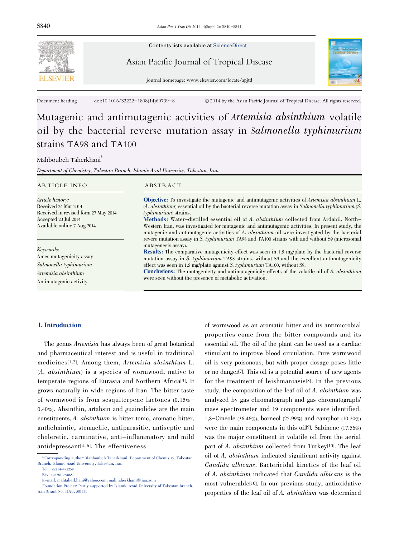

Contents lists available at ScienceDirect

Asian Pacific Journal of Tropical Disease



journal homepage: www.elsevier.com/locate/apjtd

Document heading doi:10.1016/S2222-1808(14)60739-8 © 2014 by the Asian Pacific Journal of Tropical Disease. All rights reserved.

# Mutagenic and antimutagenic activities of Artemisia absinthium volatile oil by the bacterial reverse mutation assay in Salmonella typhimurium strains TA98 and TA100

# Mahboubeh Taherkhani\*

Department of Chemistry, Takestan Branch, Islamic Azad University, Takestan, Iran

| <b>ARTICLE INFO</b>                                                              | ABSTRACT                                                                                                                                                                                                                                                                                                                                                                                              |
|----------------------------------------------------------------------------------|-------------------------------------------------------------------------------------------------------------------------------------------------------------------------------------------------------------------------------------------------------------------------------------------------------------------------------------------------------------------------------------------------------|
| Article history:<br>Received 24 Mar 2014<br>Received in revised form 27 May 2014 | <b>Objective:</b> To investigate the mutagenic and antimutagenic activities of <i>Artemisia absinthium</i> L.<br>$(A, absinthim)$ essential oil by the bacterial reverse mutation assay in Salmonella typhimurium $(S, \mathcal{L})$<br><i>typhimurium</i> strains.                                                                                                                                   |
| Accepted 20 Jul 2014<br>Available online 7 Aug 2014                              | <b>Methods:</b> Water-distilled essential oil of A. absinthium collected from Ardabil, North-<br>Western Iran, was investigated for mutagenic and antimutagenic activities. In present study, the<br>mutagenic and antimutagenic activities of A. absinthium oil were investigated by the bacterial<br>revere mutation assay in S. typhimurium TA98 and TA100 strains with and without S9 (microsomal |
| Keywords:<br>Ames mutagenicity assay                                             | mutagenesis assay).<br><b>Results:</b> The comparative mutagenicity effect was seen in 1.5 mg/plate by the bacterial reverse<br>mutation assay in S. typhimurium TA98 strains, without S9 and the excellent antimutagenicity                                                                                                                                                                          |
| Salmonella typhimurium                                                           | effect was seen in 1.5 mg/plate against S. typhimurium TA100, without S9.                                                                                                                                                                                                                                                                                                                             |
| Artemisia absinthium                                                             | <b>Conclusions:</b> The mutagenicity and antimutagenicity effects of the volatile oil of A. absinthium                                                                                                                                                                                                                                                                                                |
| Antimutagenic activity                                                           | were seen without the presence of metabolic activation.                                                                                                                                                                                                                                                                                                                                               |

# 1. Introduction

The genus Artemisia has always been of great botanical and pharmaceutical interest and is useful in traditional medicines[1,2]. Among them, Artemisia absinthium L. (A. absinthium) is a species of wormwood, native to temperate regions of Eurasia and Northern Africa[3]. It grows naturally in wide regions of Iran. The bitter taste of wormwood is from sesquiterpene lactones (0.15%- 0.40%). Absinthin, artabsin and guainolides are the main constituents, A. absinthium is bitter tonic, aromatic bitter, anthelmintic, stomachic, antiparasitic, antiseptic and choleretic, carminative, anti-inflammatory and mild antidepressant[4-6]. The effectiveness

Tel: +982144492258

of wormwood as an aromatic bitter and its antimicrobial properties come from the bitter compounds and its essential oil. The oil of the plant can be used as a cardiac stimulant to improve blood circulation. Pure wormwood oil is very poisonous, but with proper dosage poses little or no danger[7]. This oil is a potential source of new agents for the treatment of leishmaniasis[8]. In the previous study, the composition of the leaf oil of A. absinthium was analyzed by gas chromatograph and gas chromatograph/ mass spectrometer and 19 components were identified. 1,8-Cineole (36.46%), borneol (25.99%) and camphor (10.20%) were the main components in this oil[9]. Sabinene (17.56%) was the major constituent in volatile oil from the aerial part of A. absinthium collected from Turkey[10]. The leaf oil of A. absinthium indicated significant activity against Candida albicans. Bactericidal kinetics of the leaf oil of A. absinthium indicated that Candida albicans is the most vulnerable[10]. In our previous study, antioxidative properties of the leaf oil of A. absinthium was determined

<sup>\*</sup>Corresponding author: Mahboubeh Taherkhani, Department of Chemistry, Takestan Branch, Islamic Azad University, Takestan, Iran.

Fax: +982813698652

E-mail: mahtaherkhani@yahoo.com, mah.taherkhani@tiau.ac.ir

Foundation Project: Partly supported by Islamic Azad University of Takestan branch, Iran (Grant No. TIAU: 50155).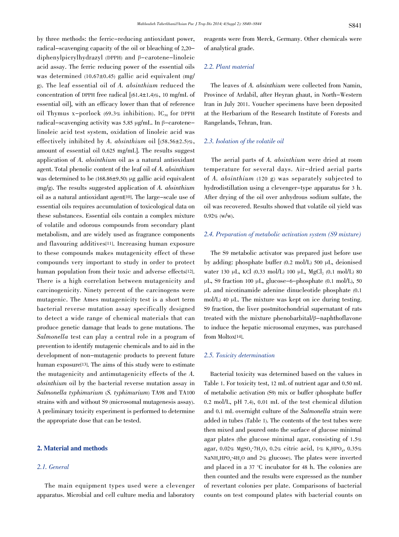by three methods: the ferric-reducing antioxidant power, radical-scavenging capacity of the oil or bleaching of 2,20 diphenylpicrylhydrazyl (DPPH) and β-carotene-linoleic acid assay. The ferric reducing power of the essential oils was determined  $(10.67\pm0.45)$  gallic acid equivalent (mg/ g). The leaf essential oil of A. absinthium reduced the concentration of DPPH free radical  $[(61.4 \pm 1.4)\%]$ , 10 mg/mL of essential oil], with an efficacy lower than that of reference oil Thymus x-porlock (69.3% inhibition). IC<sub>50</sub> for DPPH radical-scavenging activity was 5.85 µg/mL. In β-carotenelinoleic acid test system, oxidation of linoleic acid was effectively inhibited by A. absinthium oil  $(58.56 \pm 2.5)\%$ , amount of essential oil 0.625 mg/mL]. The results suggest application of A. absinthium oil as a natural antioxidant agent. Total phenolic content of the leaf oil of A. absinthium was determined to be  $(168.86±9.50)$  µg gallic acid equivalent  $(mg/g)$ . The results suggested application of A. *absinthium* oil as a natural antioxidant agent[10]. The large-scale use of essential oils requires accumulation of toxicological data on these substances. Essential oils contain a complex mixture of volatile and odorous compounds from secondary plant metabolism, and are widely used as fragrance components and flavouring additives[11]. Increasing human exposure to these compounds makes mutagenicity effect of these compounds very important to study in order to protect human population from their toxic and adverse effects[12]. There is a high correlation between mutagenicity and carcinogenicity. Ninety percent of the carcinogens were mutagenic. The Ames mutagenicity test is a short term bacterial reverse mutation assay specifically designed to detect a wide range of chemical materials that can produce genetic damage that leads to gene mutations. The Salmonella test can play a central role in a program of prevention to identify mutagenic chemicals and to aid in the development of non-mutagenic products to prevent future human exposure<sup>[13]</sup>. The aims of this study were to estimate the mutagenicity and antimutagenicity effects of the A. absinthium oil by the bacterial reverse mutation assay in Salmonella typhimurium (S. typhimurium) TA98 and TA100 strains with and without S9 (microsomal mutagenesis assay). A preliminary toxicity experiment is performed to determine the appropriate dose that can be tested.

## 2. Material and methods

# 2.1. General

The main equipment types used were a clevenger apparatus. Microbial and cell culture media and laboratory

reagents were from Merck, Germany. Other chemicals were of analytical grade.

## 2.2. Plant material

The leaves of A. absinthium were collected from Namin, Province of Ardabil, after Heyran ghaut, in North-Western Iran in July 2011. Voucher specimens have been deposited at the Herbarium of the Research Institute of Forests and Rangelands, Tehran, Iran.

## 2.3. Isolation of the volatile oil

The aerial parts of A. absinthium were dried at room temperature for several days. Air-dried aerial parts of A. absinthium (120 g) was separately subjected to hydrodistillation using a clevenger-type apparatus for 3 h. After drying of the oil over anhydrous sodium sulfate, the oil was recovered. Results showed that volatile oil yield was  $0.92\%$  (w/w).

## 2.4. Preparation of metabolic activation system (S9 mixture)

The S9 metabolic activator was prepared just before use by adding: phosphate buffer (0.2 mol/L) 500 µL, deionised water 130 µL, KCl  $(0.33 \text{ mol/L})$  100 µL, MgCl,  $(0.1 \text{ mol/L})$  80 µL, S9 fraction 100 µL, glucose-6-phosphate (0.1 mol/L), 50 µL and nicotinamide adenine dinucleotide phosphate (0.1 mol/L) 40 µL. The mixture was kept on ice during testing. S9 fraction, the liver postmitochondrial supernatant of rats treated with the mixture phenobarbital/β-naphthoflavone to induce the hepatic microsomal enzymes, was purchased from Moltox<sup>[14]</sup>.

## 2.5. Toxicity determination

Bacterial toxicity was determined based on the values in Table 1. For toxicity test, 12 mL of nutrient agar and 0.50 mL of metabolic activation (S9) mix or buffer (phosphate buffer 0.2 mol/L, pH 7.4), 0.01 mL of the test chemical dilution and 0.1 mL overnight culture of the Salmonella strain were added in tubes (Table 1). The contents of the test tubes were then mixed and poured onto the surface of glucose minimal agar plates (the glucose minimal agar, consisting of 1.5% agar, 0.02% MgSO<sub>4</sub>·7H<sub>2</sub>O, 0.2% citric acid, 1% K<sub>2</sub>HPO<sub>4</sub>, 0.35% NaNH<sub>4</sub>HPO<sub>4</sub>·4H<sub>2</sub>O and 2% glucose). The plates were inverted and placed in a 37 °C incubator for 48 h. The colonies are then counted and the results were expressed as the number of revertant colonies per plate. Comparisons of bacterial counts on test compound plates with bacterial counts on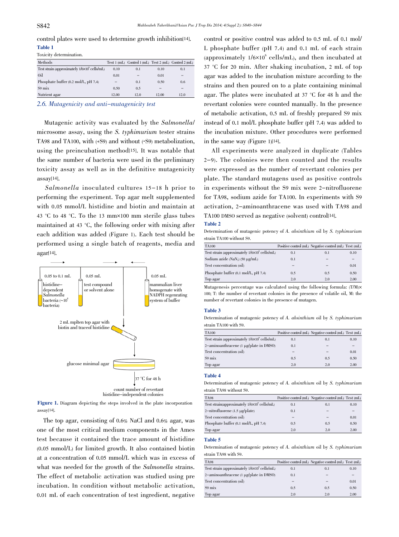control plates were used to determine growth inhibition<sup>[14]</sup>. Table 1

| Toxicity determination.                               |       |                                                               |       |      |
|-------------------------------------------------------|-------|---------------------------------------------------------------|-------|------|
| Methods                                               |       | Test $1$ (mL) Control $1$ (mL) Test $2$ (mL) Control $2$ (mL) |       |      |
| Test strain (approximately 1/6×10° cells/mL)          | 0.10  | 0.1                                                           | 0.10  | 0.1  |
| Oil                                                   | 0.01  |                                                               | 0.01  |      |
| Phosphate buffer $(0.2 \text{ mol/L}, \text{pH} 7.4)$ |       | 0.1                                                           | 0.50  | 0.6  |
| $S9$ mix                                              | 0.50  | 0.5                                                           |       |      |
| Nutrient agar                                         | 12.00 | 12.0                                                          | 12.00 | 12.0 |

2.6. Mutagenicity and anti-mutagenicity test

Mutagenic activity was evaluated by the Salmonella/ microsome assay, using the S. typhimurium tester strains TA98 and TA100, with (+S9) and without (-S9) metabolization, using the preincubation method[15]. It was notable that the same number of bacteria were used in the preliminary toxicity assay as well as in the definitive mutagenicity assay[14].

Salmonella inoculated cultures 15-18 h prior to performing the experiment. Top agar melt supplemented with 0.05 mmol/L histidine and biotin and maintain at 43 °C to 48 °C. To the 13 mm×100 mm sterile glass tubes maintained at 43 °C, the following order with mixing after each addition was added (Figure 1). Each test should be performed using a single batch of reagents, media and agar[14].



Figure 1. Diagram depicting the steps involved in the plate incorporation assay[14].

The top agar, consisting of 0.6% NaCl and 0.6% agar, was one of the most critical medium components in the Ames test because it contained the trace amount of histidine (0.05 mmol/L) for limited growth. It also contained biotin at a concentration of 0.05 mmol/L which was in excess of what was needed for the growth of the *Salmonella* strains. The effect of metabolic activation was studied using pre incubation. In condition without metabolic activation, 0.01 mL of each concentration of test ingredient, negative

control or positive control was added to 0.5 mL of 0.1 mol/ L phosphate buffer (pH 7.4) and 0.1 mL of each strain (approximately  $1/6 \times 10^{6}$  cells/mL), and then incubated at 37 °C for 20 min. After shaking incubation, 2 mL of top agar was added to the incubation mixture according to the strains and then poured on to a plate containing minimal agar. The plates were incubated at 37 °C for 48 h and the revertant colonies were counted manually. In the presence of metabolic activation, 0.5 mL of freshly prepared S9 mix instead of 0.1 mol/L phosphate buffer (pH 7.4) was added to the incubation mixture. Other procedures were performed in the same way (Figure 1)[14].

All experiments were analyzed in duplicate (Tables 2-9). The colonies were then counted and the results were expressed as the number of revertant colonies per plate. The standard mutagens used as positive controls in experiments without the S9 mix were 2-nitrofluorene for TA98, sodium azide for TA100. In experiments with S9 activation, 2-aminoanthracene was used with TA98 and TA100 DMSO served as negative (solvent) control[14].

#### Table 2

Determination of mutagenic potency of A. absinthium oil by S. typhimurium strain TA100 without S9.

| <b>TA100</b>                                          |     | Positive control (mL) Negative control (mL) Test (mL) |      |
|-------------------------------------------------------|-----|-------------------------------------------------------|------|
| Test strain (approximately 1/6×10° cells/mL)          | 0.1 | 0.1                                                   | 0.10 |
| Sodium azide (NaN <sub>3</sub> ) (50 $\mu$ g/mL)      | 0.1 |                                                       |      |
| Test concentration (oil)                              |     |                                                       | 0.01 |
| Phosphate buffer $(0.1 \text{ mol/L}, \text{pH} 7.4)$ | 0.5 | 0.5                                                   | 0.50 |
| Top agar                                              | 2.0 | 2.0                                                   | 2.00 |

Mutagenesis percentage was calculated using the following formula:  $(T/M) \times$ 100; T: the number of revertant colonies in the presence of volatile oil, M: the number of revertant colonies in the presence of mutagen.

#### Table 3

Determination of mutagenic potency of A. absinthium oil by S. typhimurium strain TA100 with S9.

| <b>TA100</b>                                         |     | Positive control (mL) Negative control (mL) Test (mL) |      |
|------------------------------------------------------|-----|-------------------------------------------------------|------|
| Test strain (approximately 1/6×10° cells/mL)         | 0.1 | 0.1                                                   | 0.10 |
| 2-aminoanthracene $(1 \mu g / \text{plate in DMSO})$ | 0.1 |                                                       |      |
| Test concentration (oil)                             |     |                                                       | 0.01 |
| $S9$ mix                                             | 0.5 | 0.5                                                   | 0.50 |
| Top agar                                             | 2.0 | 2.0                                                   | 2.00 |

## Table 4

Determination of mutagenic potency of A. absinthium oil by S. typhimurium strain TA98 without S9.

| <b>TA98</b>                                  |     | Positive control (mL) Negative control (mL) Test (mL) |      |
|----------------------------------------------|-----|-------------------------------------------------------|------|
| Test strain(approximately 1/6×10° cells/mL)  | 0.1 | 0.1                                                   | 0.10 |
| 2-nitrofluorene $(1.5 \mu g / \text{plate})$ | 0.1 |                                                       |      |
| Test concentration (oil)                     |     |                                                       | 0.01 |
| Phosphate buffer (0.1 mol/L, pH 7.4)         | 0.5 | 0.5                                                   | 0.50 |
| Top agar                                     | 2.0 | 2.0                                                   | 2.00 |

#### Table 5

Determination of mutagenic potency of A. absinthium oil by S. typhimurium strain TA98 with S9.

| <b>TA98</b>                                          |     | Positive control (mL) Negative control (mL) Test (mL) |      |
|------------------------------------------------------|-----|-------------------------------------------------------|------|
| Test strain (approximately 1/6×10° cells/mL)         | 0.1 | 0.1                                                   | 0.10 |
| 2-aminoanthracene $(1 \mu g / \text{plate in DMSO})$ | 0.1 |                                                       |      |
| Test concentration (oil)                             |     |                                                       | 0.01 |
| $S9$ mix                                             | 0.5 | 0.5                                                   | 0.50 |
| Top agar                                             | 2.0 | 2.0                                                   | 2.00 |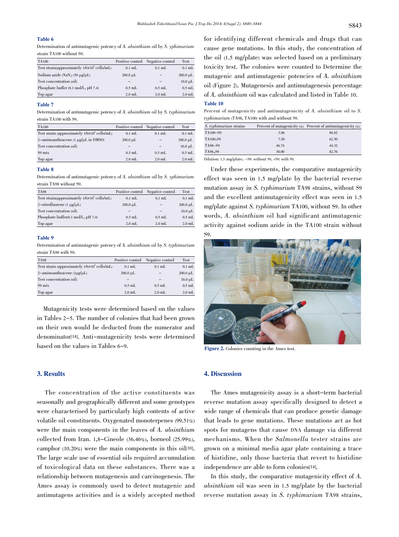## Table 6

Determination of antimutagenic potency of A. absinthium oil by S. yphimurium strain TA100 without S9.

| <b>TA100</b>                                           | Positive control | Negative control | Test          |
|--------------------------------------------------------|------------------|------------------|---------------|
| Test strain(approximately $1/6 \times 10^6$ cells/mL)  | $0.1$ mL         | $0.1$ mL         | $0.1$ mL      |
| Sodium azide (NaN <sub>3</sub> ) (50 $\mu$ g/ $\mu$ L) | 200.0 µL         |                  | $200.0 \mu L$ |
| Test concentration (oil)                               |                  |                  | $10.0 \mu L$  |
| Phosphate buffer $(0.1 \text{ mol/L}, \text{pH} 7.4)$  | $0.5$ mL         | $0.5$ mL         | $0.5$ mL      |
| Top agar                                               | $2.0$ mL         | $2.0$ mL         | $2.0$ mL      |

#### Table 7

Determination of antimutagenic potency of A. absinthium oil by S. typhimurium strain TA100 with S9.

| <b>TA100</b>                                           | Positive control | Negative control | <b>Test</b>   |
|--------------------------------------------------------|------------------|------------------|---------------|
| Test strain (approximately $1/6 \times 10^6$ cells/mL) | $0.1$ mL         | $0.1$ mL         | $0.1$ mL      |
| 2-aminoanthracene $(1 \mu g/\mu L \text{ in DMSO})$    | 200.0 µL         |                  | $200.0 \mu L$ |
| Test concentration (oil)                               |                  |                  | $10.0 \mu L$  |
| $S9$ mix                                               | $0.5$ mL         | $0.5$ mL         | $0.5$ mL      |
| Top agar                                               | $2.0$ mL         | $2.0$ mL         | $2.0$ mL      |

#### Table 8

Determination of antimutagenic potency of A. absinthium oil by S. yphimurium strain TA98 without S9.

| <b>TA98</b>                                           | Positive control | Negative control | Test          |
|-------------------------------------------------------|------------------|------------------|---------------|
| Test strain(approximately 1/6×10° cells/mL)           | $0.1$ mL         | $0.1$ mL         | $0.1$ mL      |
| 2-nitrofluorene $(1 \mu g/\mu L)$                     | $200.0 \mu L$    |                  | $200.0 \mu L$ |
| Test concentration (oil)                              |                  |                  | $10.0 \mu L$  |
| Phosphate buffer $(0.1 \text{ mol/L}, \text{pH} 7.4)$ | $0.5$ mL         | $0.5$ mL         | $0.5$ mL      |
| Top agar                                              | $2.0$ mL         | $2.0$ mL         | $2.0$ mL      |

#### Table 9

Determination of antimutagenic potency of A. absinthium oil by S. typhimurium strain TA98 with S9.

| <b>TA98</b>                                            | Positive control | Negative control | <b>Test</b>   |
|--------------------------------------------------------|------------------|------------------|---------------|
| Test strain (approximately $1/6 \times 10^6$ cells/mL) | $0.1$ mL         | $0.1$ mL         | $0.1$ mL      |
| 2-aminoanthracene $(1\mu g/\mu L)$                     | $200.0 \mu L$    |                  | $200.0 \mu L$ |
| Test concentration (oil)                               |                  |                  | $10.0 \mu L$  |
| S9 mix                                                 | $0.5$ mL         | $0.5$ mL         | $0.5$ mL      |
| Top agar                                               | $2.0$ mL         | $2.0$ mL         | $2.0$ mL      |

Mutagenicity tests were determined based on the values in Tables 2-5. The number of colonies that had been grown on their own would be deducted from the numerator and denominator[14]. Anti-mutagenicity tests were determined based on the values in Tables 6-9.

3. Results

The concentration of the active constituents was seasonally and geographically different and some genotypes were characterised by particularly high contents of active volatile oil constituents. Oxygenated monoterpenes (99.51%) were the main components in the leaves of A. absinthium collected from Iran. 1,8-Cineole (36.46%), borneol (25.99%), camphor (10.20%) were the main components in this oil[10]. The large scale use of essential oils required accumulation of toxicological data on these substances. There was a relationship between mutagenesis and carcinogenesis. The Ames assay is commonly used to detect mutagenic and antimutagens activities and is a widely accepted method

for identifying different chemicals and drugs that can cause gene mutations. In this study, the concentration of the oil (1.5 mg/plate) was selected based on a preliminary toxicity test. The colonies were counted to Determine the mutagenic and antimutagenic potencies of A. absinthium oil (Figure 2). Mutagenesis and antimutagenesis percentage of A. absinthium oil was calculated and listed in Table 10.

## Table 10

Percent of mutagenicity and antimutagenicity of A. absinthium oil to S. typhimurium (TA98, TA100) with and without S9.

| S. typhimurium strains |       | Percent of mutagenicity $(\%)$ Percent of antimutagenicity $(\%)$ |
|------------------------|-------|-------------------------------------------------------------------|
| TA100-S9               | 3.06  | 84.62                                                             |
| TA100 <sub>+</sub> S9  | 7.50  | 62.50                                                             |
| TA98-S9                | 46.74 | 44.32                                                             |
| TA98 <sub>+</sub> S9   | 30,00 | 82.76                                                             |

Dilution: 1.5 (mg/plate). -S9: without S9, +S9: with S9.

Under these experiments, the comparative mutagenicity effect was seen in 1.5 mg/plate by the bacterial reverse mutation assay in S. typhimurium TA98 strains, without S9 and the excellent antimutagenicity effect was seen in 1.5 mg/plate against S. typhimurium TA100, without S9. In other words, A. absinthium oil had significant antimutagenic activity against sodium azide in the TA100 strain without S9.



Figure 2. Colonies counting in the Ames test.

## 4. Discussion

The Ames mutagenicity assay is a short-term bacterial reverse mutation assay specifically designed to detect a wide range of chemicals that can produce genetic damage that leads to gene mutations. These mutations act as hot spots for mutagens that cause DNA damage via different mechanisms. When the Salmonella tester strains are grown on a minimal media agar plate containing a trace of histidine, only those bacteria that revert to histidine independence are able to form colonies[14].

In this study, the comparative mutagenicity effect of A. absinthium oil was seen in 1.5 mg/plate by the bacterial reverse mutation assay in S. typhimurium TA98 strains,